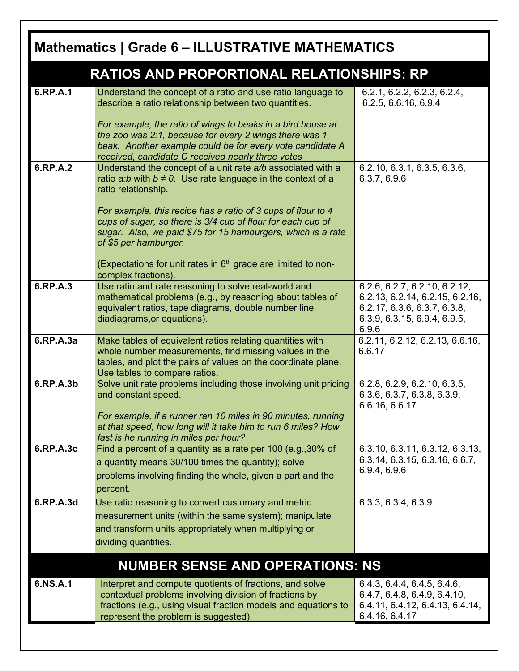| <b>Mathematics   Grade 6 - ILLUSTRATIVE MATHEMATICS</b> |                                                                                                                                                                                                                                         |                                                                                                                                           |
|---------------------------------------------------------|-----------------------------------------------------------------------------------------------------------------------------------------------------------------------------------------------------------------------------------------|-------------------------------------------------------------------------------------------------------------------------------------------|
| <b>RATIOS AND PROPORTIONAL RELATIONSHIPS: RP</b>        |                                                                                                                                                                                                                                         |                                                                                                                                           |
| 6.RP.A.1                                                | Understand the concept of a ratio and use ratio language to<br>describe a ratio relationship between two quantities.                                                                                                                    | 6.2.1, 6.2.2, 6.2.3, 6.2.4,<br>6.2.5, 6.6.16, 6.9.4                                                                                       |
|                                                         | For example, the ratio of wings to beaks in a bird house at<br>the zoo was 2:1, because for every 2 wings there was 1<br>beak. Another example could be for every vote candidate A<br>received, candidate C received nearly three votes |                                                                                                                                           |
| 6.RP.A.2                                                | Understand the concept of a unit rate a/b associated with a<br>ratio $a:b$ with $b \ne 0$ . Use rate language in the context of a<br>ratio relationship.                                                                                | 6.2.10, 6.3.1, 6.3.5, 6.3.6,<br>6.3.7, 6.9.6                                                                                              |
|                                                         | For example, this recipe has a ratio of 3 cups of flour to 4<br>cups of sugar, so there is 3/4 cup of flour for each cup of<br>sugar. Also, we paid \$75 for 15 hamburgers, which is a rate<br>of \$5 per hamburger.                    |                                                                                                                                           |
|                                                         | (Expectations for unit rates in $6th$ grade are limited to non-<br>complex fractions).                                                                                                                                                  |                                                                                                                                           |
| 6.RP.A.3                                                | Use ratio and rate reasoning to solve real-world and<br>mathematical problems (e.g., by reasoning about tables of<br>equivalent ratios, tape diagrams, double number line<br>diadiagrams, or equations).                                | 6.2.6, 6.2.7, 6.2.10, 6.2.12,<br>6.2.13, 6.2.14, 6.2.15, 6.2.16,<br>6.2.17, 6.3.6, 6.3.7, 6.3.8,<br>6.3.9, 6.3.15, 6.9.4, 6.9.5,<br>6.9.6 |
| 6.RP.A.3a                                               | Make tables of equivalent ratios relating quantities with<br>whole number measurements, find missing values in the<br>tables, and plot the pairs of values on the coordinate plane.<br>Use tables to compare ratios.                    | 6.2.11, 6.2.12, 6.2.13, 6.6.16,<br>6.6.17                                                                                                 |
| 6.RP.A.3b                                               | Solve unit rate problems including those involving unit pricing<br>and constant speed.<br>For example, if a runner ran 10 miles in 90 minutes, running<br>at that speed, how long will it take him to run 6 miles? How                  | 6.2.8, 6.2.9, 6.2.10, 6.3.5,<br>6.3.6, 6.3.7, 6.3.8, 6.3.9,<br>6.6.16, 6.6.17                                                             |
|                                                         | fast is he running in miles per hour?                                                                                                                                                                                                   |                                                                                                                                           |
| 6.RP.A.3c                                               | Find a percent of a quantity as a rate per 100 (e.g., 30% of<br>a quantity means 30/100 times the quantity); solve<br>problems involving finding the whole, given a part and the<br>percent.                                            | 6.3.10, 6.3.11, 6.3.12, 6.3.13,<br>6.3.14, 6.3.15, 6.3.16, 6.6.7,<br>6.9.4, 6.9.6                                                         |
| 6.RP.A.3d                                               | Use ratio reasoning to convert customary and metric<br>measurement units (within the same system); manipulate<br>and transform units appropriately when multiplying or<br>dividing quantities.                                          | 6.3.3, 6.3.4, 6.3.9                                                                                                                       |
|                                                         | <b>NUMBER SENSE AND OPERATIONS: NS</b>                                                                                                                                                                                                  |                                                                                                                                           |
| 6.NS.A.1                                                | Interpret and compute quotients of fractions, and solve<br>contextual problems involving division of fractions by<br>fractions (e.g., using visual fraction models and equations to<br>represent the problem is suggested).             | 6.4.3, 6.4.4, 6.4.5, 6.4.6,<br>6.4.7, 6.4.8, 6.4.9, 6.4.10,<br>6.4.11, 6.4.12, 6.4.13, 6.4.14,<br>6.4.16, 6.4.17                          |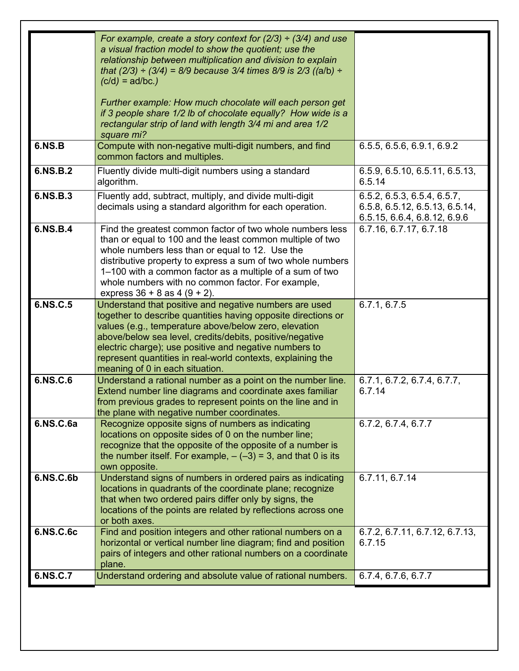| 6.NS.C.7  | Understand ordering and absolute value of rational numbers.                                                                                                                                                                                                                                                                                                                                              | 6.7.4, 6.7.6, 6.7.7                                                                           |
|-----------|----------------------------------------------------------------------------------------------------------------------------------------------------------------------------------------------------------------------------------------------------------------------------------------------------------------------------------------------------------------------------------------------------------|-----------------------------------------------------------------------------------------------|
| 6.NS.C.6c | Find and position integers and other rational numbers on a<br>horizontal or vertical number line diagram; find and position<br>pairs of integers and other rational numbers on a coordinate<br>plane.                                                                                                                                                                                                    | 6.7.2, 6.7.11, 6.7.12, 6.7.13,<br>6.7.15                                                      |
| 6.NS.C.6b | Understand signs of numbers in ordered pairs as indicating<br>locations in quadrants of the coordinate plane; recognize<br>that when two ordered pairs differ only by signs, the<br>locations of the points are related by reflections across one<br>or both axes.                                                                                                                                       | 6.7.11, 6.7.14                                                                                |
| 6.NS.C.6a | Recognize opposite signs of numbers as indicating<br>locations on opposite sides of 0 on the number line;<br>recognize that the opposite of the opposite of a number is<br>the number itself. For example, $-(-3) = 3$ , and that 0 is its<br>own opposite.                                                                                                                                              | 6.7.2, 6.7.4, 6.7.7                                                                           |
| 6.NS.C.6  | Understand a rational number as a point on the number line.<br>Extend number line diagrams and coordinate axes familiar<br>from previous grades to represent points on the line and in<br>the plane with negative number coordinates.                                                                                                                                                                    | 6.7.1, 6.7.2, 6.7.4, 6.7.7,<br>6.7.14                                                         |
| 6.NS.C.5  | Understand that positive and negative numbers are used<br>together to describe quantities having opposite directions or<br>values (e.g., temperature above/below zero, elevation<br>above/below sea level, credits/debits, positive/negative<br>electric charge); use positive and negative numbers to<br>represent quantities in real-world contexts, explaining the<br>meaning of 0 in each situation. | 6.7.1, 6.7.5                                                                                  |
| 6.NS.B.4  | Find the greatest common factor of two whole numbers less<br>than or equal to 100 and the least common multiple of two<br>whole numbers less than or equal to 12. Use the<br>distributive property to express a sum of two whole numbers<br>1-100 with a common factor as a multiple of a sum of two<br>whole numbers with no common factor. For example,<br>express $36 + 8$ as $4 (9 + 2)$ .           | 6.7.16, 6.7.17, 6.7.18                                                                        |
| 6.NS.B.3  | Fluently add, subtract, multiply, and divide multi-digit<br>decimals using a standard algorithm for each operation.                                                                                                                                                                                                                                                                                      | 6.5.2, 6.5.3, 6.5.4, 6.5.7,<br>6.5.8, 6.5.12, 6.5.13, 6.5.14,<br>6.5.15, 6.6.4, 6.8.12, 6.9.6 |
| 6.NS.B.2  | Fluently divide multi-digit numbers using a standard<br>algorithm.                                                                                                                                                                                                                                                                                                                                       | 6.5.9, 6.5.10, 6.5.11, 6.5.13,<br>6.5.14                                                      |
| 6.NS.B    | Further example: How much chocolate will each person get<br>if 3 people share 1/2 lb of chocolate equally? How wide is a<br>rectangular strip of land with length 3/4 mi and area 1/2<br>square mi?<br>Compute with non-negative multi-digit numbers, and find<br>common factors and multiples.                                                                                                          | 6.5.5, 6.5.6, 6.9.1, 6.9.2                                                                    |
|           | For example, create a story context for $(2/3) \div (3/4)$ and use<br>a visual fraction model to show the quotient; use the<br>relationship between multiplication and division to explain<br>that (2/3) $\div$ (3/4) = 8/9 because 3/4 times 8/9 is 2/3 ((a/b) $\div$<br>$(c/d) = ad/bc$ .)                                                                                                             |                                                                                               |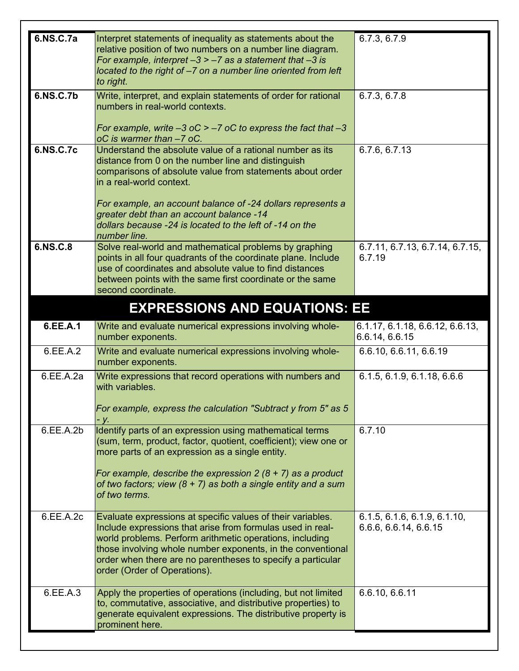| 6.NS.C.7a | Interpret statements of inequality as statements about the<br>relative position of two numbers on a number line diagram.<br>For example, interpret $-3 > -7$ as a statement that $-3$ is<br>located to the right of -7 on a number line oriented from left<br>to right.                                                                                                                         | 6.7.3, 6.7.9                                          |
|-----------|-------------------------------------------------------------------------------------------------------------------------------------------------------------------------------------------------------------------------------------------------------------------------------------------------------------------------------------------------------------------------------------------------|-------------------------------------------------------|
| 6.NS.C.7b | Write, interpret, and explain statements of order for rational<br>numbers in real-world contexts.<br>For example, write $-3$ oC $> -7$ oC to express the fact that $-3$<br>oC is warmer than -7 oC.                                                                                                                                                                                             | 6.7.3, 6.7.8                                          |
| 6.NS.C.7c | Understand the absolute value of a rational number as its<br>distance from 0 on the number line and distinguish<br>comparisons of absolute value from statements about order<br>in a real-world context.<br>For example, an account balance of -24 dollars represents a<br>greater debt than an account balance -14<br>dollars because -24 is located to the left of -14 on the<br>number line. | 6.7.6, 6.7.13                                         |
| 6.NS.C.8  | Solve real-world and mathematical problems by graphing<br>points in all four quadrants of the coordinate plane. Include<br>use of coordinates and absolute value to find distances<br>between points with the same first coordinate or the same<br>second coordinate.                                                                                                                           | 6.7.11, 6.7.13, 6.7.14, 6.7.15,<br>6.7.19             |
|           | <b>EXPRESSIONS AND EQUATIONS: EE</b>                                                                                                                                                                                                                                                                                                                                                            |                                                       |
| 6.EE.A.1  | Write and evaluate numerical expressions involving whole-<br>number exponents.                                                                                                                                                                                                                                                                                                                  | 6.1.17, 6.1.18, 6.6.12, 6.6.13,<br>6.6.14, 6.6.15     |
| 6.EE.A.2  | Write and evaluate numerical expressions involving whole-<br>number exponents.                                                                                                                                                                                                                                                                                                                  | 6.6.10, 6.6.11, 6.6.19                                |
| 6.EE.A.2a | Write expressions that record operations with numbers and<br>with variables.<br>For example, express the calculation "Subtract y from 5" as 5<br>- y.                                                                                                                                                                                                                                           | 6.1.5, 6.1.9, 6.1.18, 6.6.6                           |
| 6.EE.A.2b | Identify parts of an expression using mathematical terms<br>(sum, term, product, factor, quotient, coefficient); view one or<br>more parts of an expression as a single entity.<br>For example, describe the expression $2(8 + 7)$ as a product<br>of two factors; view $(8 + 7)$ as both a single entity and a sum<br>of two terms.                                                            | 6.7.10                                                |
| 6.EE.A.2c | Evaluate expressions at specific values of their variables.<br>Include expressions that arise from formulas used in real-<br>world problems. Perform arithmetic operations, including<br>those involving whole number exponents, in the conventional<br>order when there are no parentheses to specify a particular<br>order (Order of Operations).                                             | 6.1.5, 6.1.6, 6.1.9, 6.1.10,<br>6.6.6, 6.6.14, 6.6.15 |
| 6.EE.A.3  | Apply the properties of operations (including, but not limited<br>to, commutative, associative, and distributive properties) to<br>generate equivalent expressions. The distributive property is<br>prominent here.                                                                                                                                                                             | 6.6.10, 6.6.11                                        |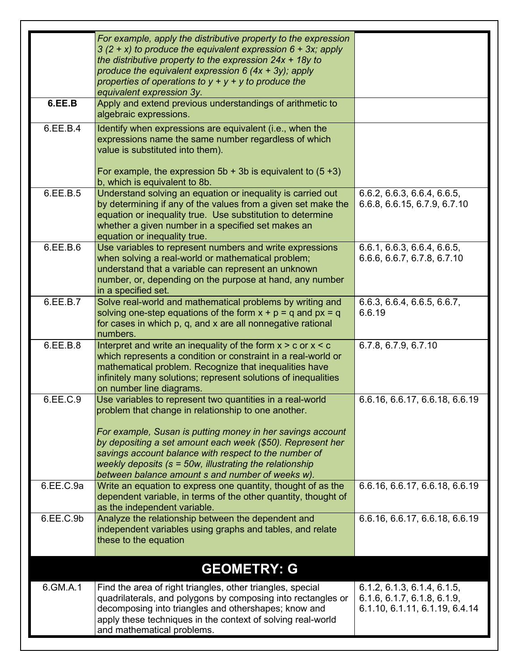|           | For example, apply the distributive property to the expression<br>$3(2 + x)$ to produce the equivalent expression $6 + 3x$ ; apply<br>the distributive property to the expression $24x + 18y$ to<br>produce the equivalent expression 6 $(4x + 3y)$ ; apply<br>properties of operations to $y + y + y$ to produce the<br>equivalent expression 3y.                                                                       |                                                                                              |
|-----------|--------------------------------------------------------------------------------------------------------------------------------------------------------------------------------------------------------------------------------------------------------------------------------------------------------------------------------------------------------------------------------------------------------------------------|----------------------------------------------------------------------------------------------|
| 6.EE.B    | Apply and extend previous understandings of arithmetic to<br>algebraic expressions.                                                                                                                                                                                                                                                                                                                                      |                                                                                              |
| 6.EE.B.4  | Identify when expressions are equivalent (i.e., when the<br>expressions name the same number regardless of which<br>value is substituted into them).<br>For example, the expression $5b + 3b$ is equivalent to $(5 + 3)$<br>b, which is equivalent to 8b.                                                                                                                                                                |                                                                                              |
| 6.EE.B.5  | Understand solving an equation or inequality is carried out<br>by determining if any of the values from a given set make the<br>equation or inequality true. Use substitution to determine<br>whether a given number in a specified set makes an<br>equation or inequality true.                                                                                                                                         | 6.6.2, 6.6.3, 6.6.4, 6.6.5,<br>6.6.8, 6.6.15, 6.7.9, 6.7.10                                  |
| 6.EE.B.6  | Use variables to represent numbers and write expressions<br>when solving a real-world or mathematical problem;<br>understand that a variable can represent an unknown<br>number, or, depending on the purpose at hand, any number<br>in a specified set.                                                                                                                                                                 | 6.6.1, 6.6.3, 6.6.4, 6.6.5,<br>6.6.6, 6.6.7, 6.7.8, 6.7.10                                   |
| 6.EE.B.7  | Solve real-world and mathematical problems by writing and<br>solving one-step equations of the form $x + p = q$ and $px = q$<br>for cases in which p, q, and x are all nonnegative rational<br>numbers.                                                                                                                                                                                                                  | 6.6.3, 6.6.4, 6.6.5, 6.6.7,<br>6.6.19                                                        |
| 6.EE.B.8  | Interpret and write an inequality of the form $x > c$ or $x < c$<br>which represents a condition or constraint in a real-world or<br>mathematical problem. Recognize that inequalities have<br>infinitely many solutions; represent solutions of inequalities<br>on number line diagrams.                                                                                                                                | 6.7.8, 6.7.9, 6.7.10                                                                         |
| 6.EE.C.9  | Use variables to represent two quantities in a real-world<br>problem that change in relationship to one another.<br>For example, Susan is putting money in her savings account<br>by depositing a set amount each week (\$50). Represent her<br>savings account balance with respect to the number of<br>weekly deposits ( $s = 50w$ , illustrating the relationship<br>between balance amount s and number of weeks w). | 6.6.16, 6.6.17, 6.6.18, 6.6.19                                                               |
| 6.EE.C.9a | Write an equation to express one quantity, thought of as the<br>dependent variable, in terms of the other quantity, thought of<br>as the independent variable.                                                                                                                                                                                                                                                           | 6.6.16, 6.6.17, 6.6.18, 6.6.19                                                               |
| 6.EE.C.9b | Analyze the relationship between the dependent and<br>independent variables using graphs and tables, and relate<br>these to the equation                                                                                                                                                                                                                                                                                 | 6.6.16, 6.6.17, 6.6.18, 6.6.19                                                               |
|           | <b>GEOMETRY: G</b>                                                                                                                                                                                                                                                                                                                                                                                                       |                                                                                              |
| 6.GM.A.1  | Find the area of right triangles, other triangles, special<br>quadrilaterals, and polygons by composing into rectangles or<br>decomposing into triangles and othershapes; know and<br>apply these techniques in the context of solving real-world<br>and mathematical problems.                                                                                                                                          | 6.1.2, 6.1.3, 6.1.4, 6.1.5,<br>6.1.6, 6.1.7, 6.1.8, 6.1.9,<br>6.1.10, 6.1.11, 6.1.19, 6.4.14 |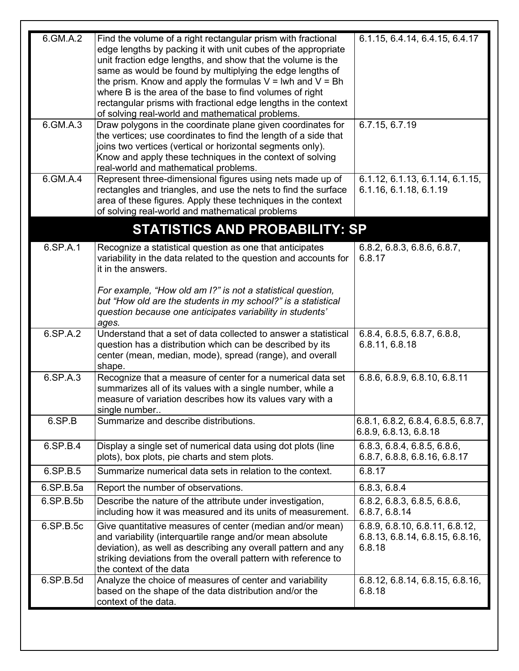| 6.GM.A.2  | Find the volume of a right rectangular prism with fractional<br>edge lengths by packing it with unit cubes of the appropriate<br>unit fraction edge lengths, and show that the volume is the<br>same as would be found by multiplying the edge lengths of<br>the prism. Know and apply the formulas $V = Iwh$ and $V = Bh$<br>where B is the area of the base to find volumes of right<br>rectangular prisms with fractional edge lengths in the context<br>of solving real-world and mathematical problems. | 6.1.15, 6.4.14, 6.4.15, 6.4.17                                              |
|-----------|--------------------------------------------------------------------------------------------------------------------------------------------------------------------------------------------------------------------------------------------------------------------------------------------------------------------------------------------------------------------------------------------------------------------------------------------------------------------------------------------------------------|-----------------------------------------------------------------------------|
| 6.GM.A.3  | Draw polygons in the coordinate plane given coordinates for<br>the vertices; use coordinates to find the length of a side that<br>joins two vertices (vertical or horizontal segments only).<br>Know and apply these techniques in the context of solving<br>real-world and mathematical problems.                                                                                                                                                                                                           | 6.7.15, 6.7.19                                                              |
| 6.GM.A.4  | Represent three-dimensional figures using nets made up of<br>rectangles and triangles, and use the nets to find the surface<br>area of these figures. Apply these techniques in the context<br>of solving real-world and mathematical problems                                                                                                                                                                                                                                                               | 6.1.12, 6.1.13, 6.1.14, 6.1.15,<br>6.1.16, 6.1.18, 6.1.19                   |
|           | <b>STATISTICS AND PROBABILITY: SP</b>                                                                                                                                                                                                                                                                                                                                                                                                                                                                        |                                                                             |
| 6.SP.A.1  | Recognize a statistical question as one that anticipates<br>variability in the data related to the question and accounts for<br>it in the answers.                                                                                                                                                                                                                                                                                                                                                           | 6.8.2, 6.8.3, 6.8.6, 6.8.7,<br>6.8.17                                       |
|           | For example, "How old am I?" is not a statistical question,<br>but "How old are the students in my school?" is a statistical<br>question because one anticipates variability in students'<br>ages.                                                                                                                                                                                                                                                                                                           |                                                                             |
| 6.SP.A.2  | Understand that a set of data collected to answer a statistical<br>question has a distribution which can be described by its<br>center (mean, median, mode), spread (range), and overall<br>shape.                                                                                                                                                                                                                                                                                                           | 6.8.4, 6.8.5, 6.8.7, 6.8.8,<br>6.8.11, 6.8.18                               |
| 6.SP.A.3  | Recognize that a measure of center for a numerical data set<br>summarizes all of its values with a single number, while a<br>measure of variation describes how its values vary with a<br>single number                                                                                                                                                                                                                                                                                                      | 6.8.6, 6.8.9, 6.8.10, 6.8.11                                                |
| 6.SP.B    | Summarize and describe distributions.                                                                                                                                                                                                                                                                                                                                                                                                                                                                        | 6.8.1, 6.8.2, 6.8.4, 6.8.5, 6.8.7,<br>6.8.9, 6.8.13, 6.8.18                 |
| 6.SP.B.4  | Display a single set of numerical data using dot plots (line<br>plots), box plots, pie charts and stem plots.                                                                                                                                                                                                                                                                                                                                                                                                | 6.8.3, 6.8.4, 6.8.5, 6.8.6,<br>6.8.7, 6.8.8, 6.8.16, 6.8.17                 |
| 6.SP.B.5  | Summarize numerical data sets in relation to the context.                                                                                                                                                                                                                                                                                                                                                                                                                                                    | 6.8.17                                                                      |
| 6.SP.B.5a | Report the number of observations.                                                                                                                                                                                                                                                                                                                                                                                                                                                                           | 6.8.3, 6.8.4                                                                |
| 6.SP.B.5b | Describe the nature of the attribute under investigation,<br>including how it was measured and its units of measurement.                                                                                                                                                                                                                                                                                                                                                                                     | 6.8.2, 6.8.3, 6.8.5, 6.8.6,<br>6.8.7, 6.8.14                                |
| 6.SP.B.5c | Give quantitative measures of center (median and/or mean)<br>and variability (interquartile range and/or mean absolute<br>deviation), as well as describing any overall pattern and any<br>striking deviations from the overall pattern with reference to<br>the context of the data                                                                                                                                                                                                                         | 6.8.9, 6.8.10, 6.8.11, 6.8.12,<br>6.8.13, 6.8.14, 6.8.15, 6.8.16,<br>6.8.18 |
| 6.SP.B.5d | Analyze the choice of measures of center and variability<br>based on the shape of the data distribution and/or the<br>context of the data.                                                                                                                                                                                                                                                                                                                                                                   | 6.8.12, 6.8.14, 6.8.15, 6.8.16,<br>6.8.18                                   |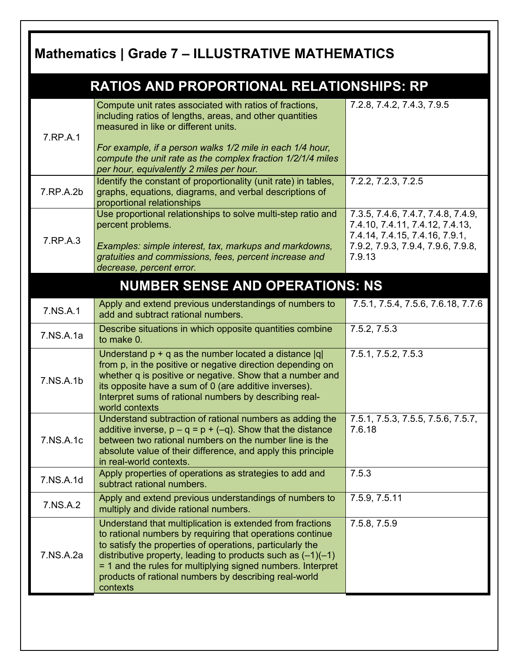## **Mathematics | Grade 7 – ILLUSTRATIVE MATHEMATICS**

|           | <b>RATIOS AND PROPORTIONAL RELATIONSHIPS: RP</b>                                                                                                                                                                                                                                                                                                                                         |                                                                                                                                                         |
|-----------|------------------------------------------------------------------------------------------------------------------------------------------------------------------------------------------------------------------------------------------------------------------------------------------------------------------------------------------------------------------------------------------|---------------------------------------------------------------------------------------------------------------------------------------------------------|
| 7.RP.A.1  | Compute unit rates associated with ratios of fractions,<br>including ratios of lengths, areas, and other quantities<br>measured in like or different units.<br>For example, if a person walks 1/2 mile in each 1/4 hour,<br>compute the unit rate as the complex fraction 1/2/1/4 miles<br>per hour, equivalently 2 miles per hour.                                                      | 7.2.8, 7.4.2, 7.4.3, 7.9.5                                                                                                                              |
| 7.RP.A.2b | Identify the constant of proportionality (unit rate) in tables,<br>graphs, equations, diagrams, and verbal descriptions of<br>proportional relationships                                                                                                                                                                                                                                 | 7.2.2, 7.2.3, 7.2.5                                                                                                                                     |
| 7.RP.A.3  | Use proportional relationships to solve multi-step ratio and<br>percent problems.<br>Examples: simple interest, tax, markups and markdowns,<br>gratuities and commissions, fees, percent increase and<br>decrease, percent error.                                                                                                                                                        | 7.3.5, 7.4.6, 7.4.7, 7.4.8, 7.4.9,<br>7.4.10, 7.4.11, 7.4.12, 7.4.13,<br>7.4.14, 7.4.15, 7.4.16, 7.9.1,<br>7.9.2, 7.9.3, 7.9.4, 7.9.6, 7.9.8,<br>7.9.13 |
|           | <b>NUMBER SENSE AND OPERATIONS: NS</b>                                                                                                                                                                                                                                                                                                                                                   |                                                                                                                                                         |
| 7.NS.A.1  | Apply and extend previous understandings of numbers to<br>add and subtract rational numbers.                                                                                                                                                                                                                                                                                             | 7.5.1, 7.5.4, 7.5.6, 7.6.18, 7.7.6                                                                                                                      |
| 7.NS.A.1a | Describe situations in which opposite quantities combine<br>to make 0.                                                                                                                                                                                                                                                                                                                   | 7.5.2, 7.5.3                                                                                                                                            |
| 7.NS.A.1b | Understand $p + q$ as the number located a distance $ q $<br>from p, in the positive or negative direction depending on<br>whether q is positive or negative. Show that a number and<br>its opposite have a sum of 0 (are additive inverses).<br>Interpret sums of rational numbers by describing real-<br>world contexts                                                                | 7.5.1, 7.5.2, 7.5.3                                                                                                                                     |
| 7.NS.A.1c | Understand subtraction of rational numbers as adding the<br>additive inverse, $p - q = p + (-q)$ . Show that the distance<br>between two rational numbers on the number line is the<br>absolute value of their difference, and apply this principle<br>in real-world contexts.                                                                                                           | 7.5.1, 7.5.3, 7.5.5, 7.5.6, 7.5.7,<br>7.6.18                                                                                                            |
| 7.NS.A.1d | Apply properties of operations as strategies to add and<br>subtract rational numbers.                                                                                                                                                                                                                                                                                                    | 7.5.3                                                                                                                                                   |
| 7.NS.A.2  | Apply and extend previous understandings of numbers to<br>multiply and divide rational numbers.                                                                                                                                                                                                                                                                                          | 7.5.9, 7.5.11                                                                                                                                           |
| 7.NS.A.2a | Understand that multiplication is extended from fractions<br>to rational numbers by requiring that operations continue<br>to satisfy the properties of operations, particularly the<br>distributive property, leading to products such as $(-1)(-1)$<br>= 1 and the rules for multiplying signed numbers. Interpret<br>products of rational numbers by describing real-world<br>contexts | 7.5.8, 7.5.9                                                                                                                                            |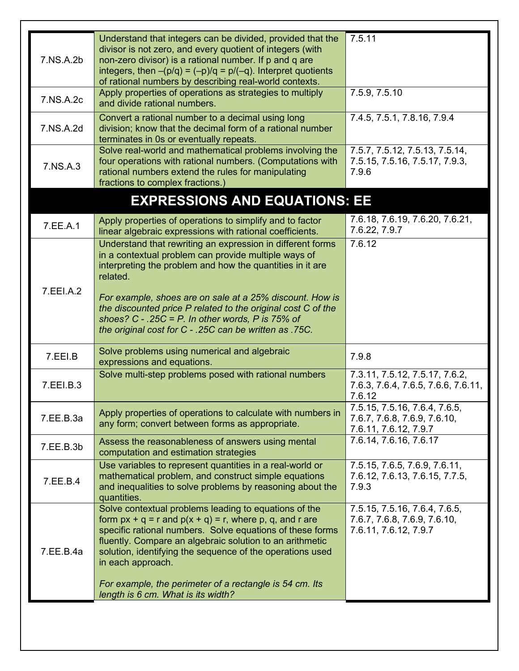| 7.NS.A.2b | Understand that integers can be divided, provided that the<br>divisor is not zero, and every quotient of integers (with<br>non-zero divisor) is a rational number. If p and q are<br>integers, then $-(p/q) = (-p)/q = p/(-q)$ . Interpret quotients<br>of rational numbers by describing real-world contexts.                                                                                                                        | 7.5.11                                                                                 |
|-----------|---------------------------------------------------------------------------------------------------------------------------------------------------------------------------------------------------------------------------------------------------------------------------------------------------------------------------------------------------------------------------------------------------------------------------------------|----------------------------------------------------------------------------------------|
| 7.NS.A.2c | Apply properties of operations as strategies to multiply<br>and divide rational numbers.                                                                                                                                                                                                                                                                                                                                              | 7.5.9, 7.5.10                                                                          |
| 7.NS.A.2d | Convert a rational number to a decimal using long<br>division; know that the decimal form of a rational number<br>terminates in 0s or eventually repeats.                                                                                                                                                                                                                                                                             | 7.4.5, 7.5.1, 7.8.16, 7.9.4                                                            |
| 7.NS.A.3  | Solve real-world and mathematical problems involving the<br>four operations with rational numbers. (Computations with<br>rational numbers extend the rules for manipulating<br>fractions to complex fractions.)                                                                                                                                                                                                                       | 7.5.7, 7.5.12, 7.5.13, 7.5.14,<br>7.5.15, 7.5.16, 7.5.17, 7.9.3,<br>7.9.6              |
|           | <b>EXPRESSIONS AND EQUATIONS: EE</b>                                                                                                                                                                                                                                                                                                                                                                                                  |                                                                                        |
| 7.EE.A.1  | Apply properties of operations to simplify and to factor<br>linear algebraic expressions with rational coefficients.                                                                                                                                                                                                                                                                                                                  | 7.6.18, 7.6.19, 7.6.20, 7.6.21,<br>7.6.22, 7.9.7                                       |
| 7.EEI.A.2 | Understand that rewriting an expression in different forms<br>in a contextual problem can provide multiple ways of<br>interpreting the problem and how the quantities in it are<br>related.<br>For example, shoes are on sale at a 25% discount. How is<br>the discounted price P related to the original cost C of the<br>shoes? C - .25C = P. In other words, P is 75% of<br>the original cost for C - .25C can be written as .75C. | 7.6.12                                                                                 |
| 7.EEI.B   | Solve problems using numerical and algebraic<br>expressions and equations.                                                                                                                                                                                                                                                                                                                                                            | 7.9.8                                                                                  |
| 7.EEI.B.3 | Solve multi-step problems posed with rational numbers                                                                                                                                                                                                                                                                                                                                                                                 | 7.3.11, 7.5.12, 7.5.17, 7.6.2,<br>7.6.3, 7.6.4, 7.6.5, 7.6.6, 7.6.11,<br>7.6.12        |
| 7.EE.B.3a | Apply properties of operations to calculate with numbers in<br>any form; convert between forms as appropriate.                                                                                                                                                                                                                                                                                                                        | 7.5.15, 7.5.16, 7.6.4, 7.6.5,<br>7.6.7, 7.6.8, 7.6.9, 7.6.10,<br>7.6.11, 7.6.12, 7.9.7 |
| 7.EE.B.3b | Assess the reasonableness of answers using mental<br>computation and estimation strategies                                                                                                                                                                                                                                                                                                                                            | 7.6.14, 7.6.16, 7.6.17                                                                 |
| 7.EE.B.4  | Use variables to represent quantities in a real-world or<br>mathematical problem, and construct simple equations<br>and inequalities to solve problems by reasoning about the<br>quantities.                                                                                                                                                                                                                                          | 7.5.15, 7.6.5, 7.6.9, 7.6.11,<br>7.6.12, 7.6.13, 7.6.15, 7.7.5,<br>7.9.3               |
| 7.EE.B.4a | Solve contextual problems leading to equations of the<br>form $px + q = r$ and $p(x + q) = r$ , where p, q, and r are<br>specific rational numbers. Solve equations of these forms<br>fluently. Compare an algebraic solution to an arithmetic<br>solution, identifying the sequence of the operations used<br>in each approach.<br>For example, the perimeter of a rectangle is 54 cm. Its<br>length is 6 cm. What is its width?     | 7.5.15, 7.5.16, 7.6.4, 7.6.5,<br>7.6.7, 7.6.8, 7.6.9, 7.6.10,<br>7.6.11, 7.6.12, 7.9.7 |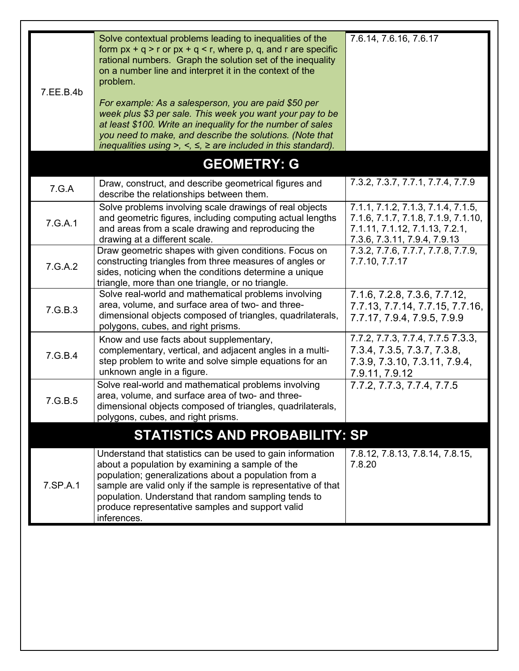| 7.EE.B.4b | Solve contextual problems leading to inequalities of the<br>form $px + q > r$ or $px + q < r$ , where p, q, and r are specific<br>rational numbers. Graph the solution set of the inequality<br>on a number line and interpret it in the context of the<br>problem.<br>For example: As a salesperson, you are paid \$50 per<br>week plus \$3 per sale. This week you want your pay to be<br>at least \$100. Write an inequality for the number of sales<br>you need to make, and describe the solutions. (Note that<br>inequalities using >, <, $\leq$ , $\geq$ are included in this standard). | 7.6.14, 7.6.16, 7.6.17                                                                                                                      |
|-----------|-------------------------------------------------------------------------------------------------------------------------------------------------------------------------------------------------------------------------------------------------------------------------------------------------------------------------------------------------------------------------------------------------------------------------------------------------------------------------------------------------------------------------------------------------------------------------------------------------|---------------------------------------------------------------------------------------------------------------------------------------------|
|           | <b>GEOMETRY: G</b>                                                                                                                                                                                                                                                                                                                                                                                                                                                                                                                                                                              |                                                                                                                                             |
| 7.G.A     | Draw, construct, and describe geometrical figures and<br>describe the relationships between them.                                                                                                                                                                                                                                                                                                                                                                                                                                                                                               | 7.3.2, 7.3.7, 7.7.1, 7.7.4, 7.7.9                                                                                                           |
| 7.G.A.1   | Solve problems involving scale drawings of real objects<br>and geometric figures, including computing actual lengths<br>and areas from a scale drawing and reproducing the<br>drawing at a different scale.                                                                                                                                                                                                                                                                                                                                                                                     | 7.1.1, 7.1.2, 7.1.3, 7.1.4, 7.1.5,<br>7.1.6, 7.1.7, 7.1.8, 7.1.9, 7.1.10,<br>7.1.11, 7.1.12, 7.1.13, 7.2.1,<br>7.3.6, 7.3.11, 7.9.4, 7.9.13 |
| 7.G.A.2   | Draw geometric shapes with given conditions. Focus on<br>constructing triangles from three measures of angles or<br>sides, noticing when the conditions determine a unique<br>triangle, more than one triangle, or no triangle.                                                                                                                                                                                                                                                                                                                                                                 | 7.3.2, 7.7.6, 7.7.7, 7.7.8, 7.7.9,<br>7.7.10, 7.7.17                                                                                        |
| 7.G.B.3   | Solve real-world and mathematical problems involving<br>area, volume, and surface area of two- and three-<br>dimensional objects composed of triangles, quadrilaterals,<br>polygons, cubes, and right prisms.                                                                                                                                                                                                                                                                                                                                                                                   | 7.1.6, 7.2.8, 7.3.6, 7.7.12,<br>7.7.13, 7.7.14, 7.7.15, 7.7.16,<br>7.7.17, 7.9.4, 7.9.5, 7.9.9                                              |
| 7.G.B.4   | Know and use facts about supplementary,<br>complementary, vertical, and adjacent angles in a multi-<br>step problem to write and solve simple equations for an<br>unknown angle in a figure.                                                                                                                                                                                                                                                                                                                                                                                                    | 7.7.2, 7.7.3, 7.7.4, 7.7.5 7.3.3,<br>7.3.4, 7.3.5, 7.3.7, 7.3.8,<br>7.3.9, 7.3.10, 7.3.11, 7.9.4,<br>7.9.11, 7.9.12                         |
| 7.G.B.5   | Solve real-world and mathematical problems involving<br>area, volume, and surface area of two- and three-<br>dimensional objects composed of triangles, quadrilaterals,<br>polygons, cubes, and right prisms.                                                                                                                                                                                                                                                                                                                                                                                   | 7.7.2, 7.7.3, 7.7.4, 7.7.5                                                                                                                  |
|           | <b>STATISTICS AND PROBABILITY: SP</b>                                                                                                                                                                                                                                                                                                                                                                                                                                                                                                                                                           |                                                                                                                                             |
| 7.SP.A.1  | Understand that statistics can be used to gain information<br>about a population by examining a sample of the<br>population; generalizations about a population from a<br>sample are valid only if the sample is representative of that<br>population. Understand that random sampling tends to<br>produce representative samples and support valid<br>inferences.                                                                                                                                                                                                                              | 7.8.12, 7.8.13, 7.8.14, 7.8.15,<br>7.8.20                                                                                                   |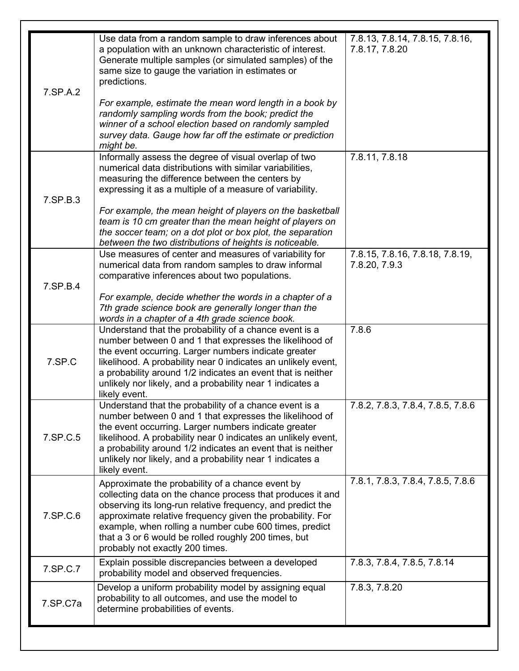| 7.SP.A.2 | Use data from a random sample to draw inferences about<br>a population with an unknown characteristic of interest.<br>Generate multiple samples (or simulated samples) of the<br>same size to gauge the variation in estimates or<br>predictions.<br>For example, estimate the mean word length in a book by<br>randomly sampling words from the book; predict the<br>winner of a school election based on randomly sampled<br>survey data. Gauge how far off the estimate or prediction<br>might be. | 7.8.13, 7.8.14, 7.8.15, 7.8.16,<br>7.8.17, 7.8.20 |
|----------|-------------------------------------------------------------------------------------------------------------------------------------------------------------------------------------------------------------------------------------------------------------------------------------------------------------------------------------------------------------------------------------------------------------------------------------------------------------------------------------------------------|---------------------------------------------------|
| 7.SP.B.3 | Informally assess the degree of visual overlap of two<br>numerical data distributions with similar variabilities,<br>measuring the difference between the centers by<br>expressing it as a multiple of a measure of variability.<br>For example, the mean height of players on the basketball<br>team is 10 cm greater than the mean height of players on<br>the soccer team; on a dot plot or box plot, the separation<br>between the two distributions of heights is noticeable.                    | 7.8.11, 7.8.18                                    |
| 7.SP.B.4 | Use measures of center and measures of variability for<br>numerical data from random samples to draw informal<br>comparative inferences about two populations.<br>For example, decide whether the words in a chapter of a<br>7th grade science book are generally longer than the<br>words in a chapter of a 4th grade science book.                                                                                                                                                                  | 7.8.15, 7.8.16, 7.8.18, 7.8.19,<br>7.8.20, 7.9.3  |
| 7.SP.C   | Understand that the probability of a chance event is a<br>number between 0 and 1 that expresses the likelihood of<br>the event occurring. Larger numbers indicate greater<br>likelihood. A probability near 0 indicates an unlikely event,<br>a probability around 1/2 indicates an event that is neither<br>unlikely nor likely, and a probability near 1 indicates a<br>likely event.                                                                                                               | 7.8.6                                             |
| 7.SP.C.5 | Understand that the probability of a chance event is a<br>number between 0 and 1 that expresses the likelihood of<br>the event occurring. Larger numbers indicate greater<br>likelihood. A probability near 0 indicates an unlikely event,<br>a probability around 1/2 indicates an event that is neither<br>unlikely nor likely, and a probability near 1 indicates a<br>likely event.                                                                                                               | 7.8.2, 7.8.3, 7.8.4, 7.8.5, 7.8.6                 |
| 7.SP.C.6 | Approximate the probability of a chance event by<br>collecting data on the chance process that produces it and<br>observing its long-run relative frequency, and predict the<br>approximate relative frequency given the probability. For<br>example, when rolling a number cube 600 times, predict<br>that a 3 or 6 would be rolled roughly 200 times, but<br>probably not exactly 200 times.                                                                                                        | 7.8.1, 7.8.3, 7.8.4, 7.8.5, 7.8.6                 |
| 7.SP.C.7 | Explain possible discrepancies between a developed<br>probability model and observed frequencies.                                                                                                                                                                                                                                                                                                                                                                                                     | 7.8.3, 7.8.4, 7.8.5, 7.8.14                       |
| 7.SP.C7a | Develop a uniform probability model by assigning equal<br>probability to all outcomes, and use the model to<br>determine probabilities of events.                                                                                                                                                                                                                                                                                                                                                     | 7.8.3, 7.8.20                                     |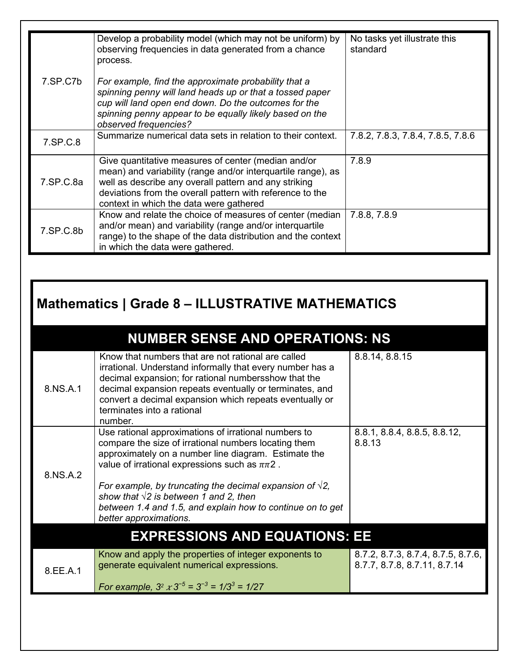|           | Develop a probability model (which may not be uniform) by<br>observing frequencies in data generated from a chance<br>process.                                                                                                                                                       | No tasks yet illustrate this<br>standard |
|-----------|--------------------------------------------------------------------------------------------------------------------------------------------------------------------------------------------------------------------------------------------------------------------------------------|------------------------------------------|
| 7.SP.C7b  | For example, find the approximate probability that a<br>spinning penny will land heads up or that a tossed paper<br>cup will land open end down. Do the outcomes for the<br>spinning penny appear to be equally likely based on the<br>observed frequencies?                         |                                          |
| 7.SP.C.8  | Summarize numerical data sets in relation to their context.                                                                                                                                                                                                                          | 7.8.2, 7.8.3, 7.8.4, 7.8.5, 7.8.6        |
| 7.SP.C.8a | Give quantitative measures of center (median and/or<br>mean) and variability (range and/or interquartile range), as<br>well as describe any overall pattern and any striking<br>deviations from the overall pattern with reference to the<br>context in which the data were gathered | 7.8.9                                    |
| 7.SP.C.8b | Know and relate the choice of measures of center (median<br>and/or mean) and variability (range and/or interquartile<br>range) to the shape of the data distribution and the context<br>in which the data were gathered.                                                             | 7.8.8, 7.8.9                             |

## **Mathematics | Grade 8 – ILLUSTRATIVE MATHEMATICS**

|          | <b>NUMBER SENSE AND OPERATIONS: NS</b>                                                                                                                                                                                                                                                                                                                                                                                                   |                                                                    |  |
|----------|------------------------------------------------------------------------------------------------------------------------------------------------------------------------------------------------------------------------------------------------------------------------------------------------------------------------------------------------------------------------------------------------------------------------------------------|--------------------------------------------------------------------|--|
| 8.NS.A.1 | Know that numbers that are not rational are called<br>irrational. Understand informally that every number has a<br>decimal expansion; for rational numbersshow that the<br>decimal expansion repeats eventually or terminates, and<br>convert a decimal expansion which repeats eventually or<br>terminates into a rational<br>number.                                                                                                   | 8.8.14, 8.8.15                                                     |  |
| 8.NS.A.2 | Use rational approximations of irrational numbers to<br>compare the size of irrational numbers locating them<br>approximately on a number line diagram. Estimate the<br>value of irrational expressions such as $\pi\pi$ 2.<br>For example, by truncating the decimal expansion of $\sqrt{2}$ ,<br>show that $\sqrt{2}$ is between 1 and 2, then<br>between 1.4 and 1.5, and explain how to continue on to get<br>better approximations. | 8.8.1, 8.8.4, 8.8.5, 8.8.12,<br>8.8.13                             |  |
|          | <b>EXPRESSIONS AND EQUATIONS: EE</b>                                                                                                                                                                                                                                                                                                                                                                                                     |                                                                    |  |
| 8.EE.A.1 | Know and apply the properties of integer exponents to<br>generate equivalent numerical expressions.<br>For example, $3^2 \times 3^{-5} = 3^{-3} = 1/3^3 = 1/27$                                                                                                                                                                                                                                                                          | 8.7.2, 8.7.3, 8.7.4, 8.7.5, 8.7.6,<br>8.7.7, 8.7.8, 8.7.11, 8.7.14 |  |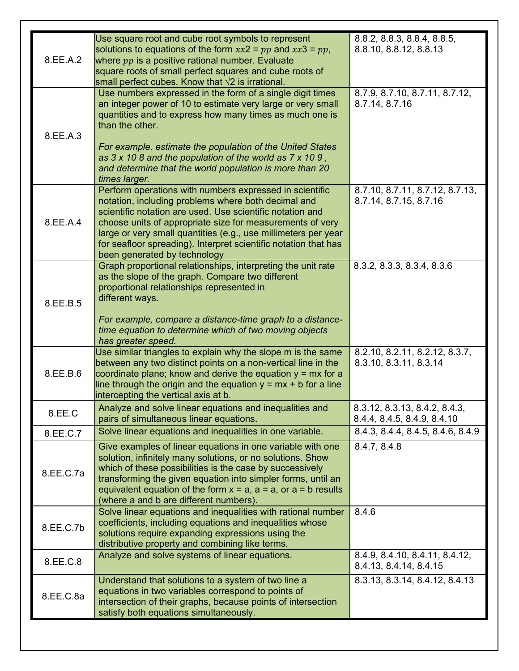| 8.EE.A.2  | Use square root and cube root symbols to represent<br>solutions to equations of the form $xx2 = pp$ and $xx3 = pp$ ,<br>where $pp$ is a positive rational number. Evaluate<br>square roots of small perfect squares and cube roots of<br>small perfect cubes. Know that $\sqrt{2}$ is irrational.                                                                                                             | 8.8.2, 8.8.3, 8.8.4, 8.8.5,<br>8.8.10, 8.8.12, 8.8.13        |
|-----------|---------------------------------------------------------------------------------------------------------------------------------------------------------------------------------------------------------------------------------------------------------------------------------------------------------------------------------------------------------------------------------------------------------------|--------------------------------------------------------------|
| 8.EE.A.3  | Use numbers expressed in the form of a single digit times<br>an integer power of 10 to estimate very large or very small<br>quantities and to express how many times as much one is<br>than the other.<br>For example, estimate the population of the United States<br>as $3 \times 108$ and the population of the world as $7 \times 109$ ,                                                                  | 8.7.9, 8.7.10, 8.7.11, 8.7.12,<br>8.7.14, 8.7.16             |
|           | and determine that the world population is more than 20<br>times larger.                                                                                                                                                                                                                                                                                                                                      |                                                              |
| 8.EE.A.4  | Perform operations with numbers expressed in scientific<br>notation, including problems where both decimal and<br>scientific notation are used. Use scientific notation and<br>choose units of appropriate size for measurements of very<br>large or very small quantities (e.g., use millimeters per year<br>for seafloor spreading). Interpret scientific notation that has<br>been generated by technology | 8.7.10, 8.7.11, 8.7.12, 8.7.13,<br>8.7.14, 8.7.15, 8.7.16    |
| 8.EE.B.5  | Graph proportional relationships, interpreting the unit rate<br>as the slope of the graph. Compare two different<br>proportional relationships represented in<br>different ways.<br>For example, compare a distance-time graph to a distance-<br>time equation to determine which of two moving objects                                                                                                       | 8.3.2, 8.3.3, 8.3.4, 8.3.6                                   |
| 8.EE.B.6  | has greater speed.<br>Use similar triangles to explain why the slope m is the same<br>between any two distinct points on a non-vertical line in the<br>coordinate plane; know and derive the equation $y = mx$ for a<br>line through the origin and the equation $y = mx + b$ for a line<br>intercepting the vertical axis at b.                                                                              | 8.2.10, 8.2.11, 8.2.12, 8.3.7,<br>8.3.10, 8.3.11, 8.3.14     |
| 8.EE.C    | Analyze and solve linear equations and inequalities and<br>pairs of simultaneous linear equations.                                                                                                                                                                                                                                                                                                            | 8.3.12, 8.3.13, 8.4.2, 8.4.3,<br>8.4.4, 8.4.5, 8.4.9, 8.4.10 |
| 8.EE.C.7  | Solve linear equations and inequalities in one variable.                                                                                                                                                                                                                                                                                                                                                      | 8.4.3, 8.4.4, 8.4.5, 8.4.6, 8.4.9                            |
| 8.EE.C.7a | Give examples of linear equations in one variable with one<br>solution, infinitely many solutions, or no solutions. Show<br>which of these possibilities is the case by successively<br>transforming the given equation into simpler forms, until an<br>equivalent equation of the form $x = a$ , $a = a$ , or $a = b$ results<br>(where a and b are different numbers).                                      | 8.4.7, 8.4.8                                                 |
| 8.EE.C.7b | Solve linear equations and inequalities with rational number<br>coefficients, including equations and inequalities whose<br>solutions require expanding expressions using the<br>distributive property and combining like terms.                                                                                                                                                                              | 8.4.6                                                        |
| 8.EE.C.8  | Analyze and solve systems of linear equations.                                                                                                                                                                                                                                                                                                                                                                | 8.4.9, 8.4.10, 8.4.11, 8.4.12,<br>8.4.13, 8.4.14, 8.4.15     |
| 8.EE.C.8a | Understand that solutions to a system of two line a<br>equations in two variables correspond to points of<br>intersection of their graphs, because points of intersection<br>satisfy both equations simultaneously.                                                                                                                                                                                           | 8.3.13, 8.3.14, 8.4.12, 8.4.13                               |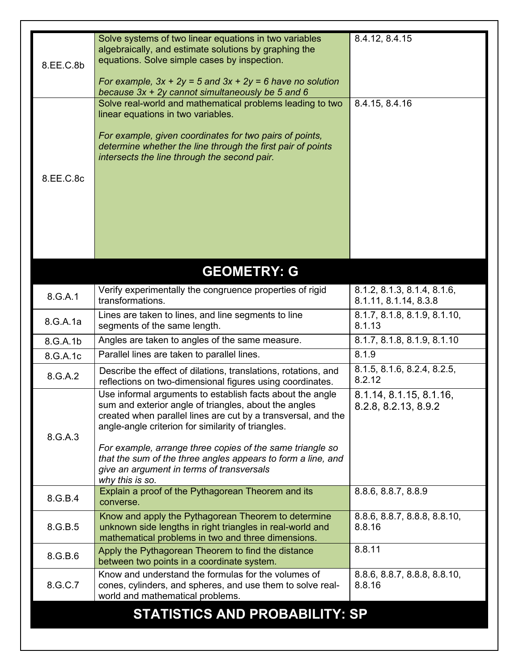| 8.EE.C.8b | Solve systems of two linear equations in two variables<br>algebraically, and estimate solutions by graphing the<br>equations. Solve simple cases by inspection.                                                                           | 8.4.12, 8.4.15                                       |  |
|-----------|-------------------------------------------------------------------------------------------------------------------------------------------------------------------------------------------------------------------------------------------|------------------------------------------------------|--|
|           | For example, $3x + 2y = 5$ and $3x + 2y = 6$ have no solution<br>because 3x + 2y cannot simultaneously be 5 and 6                                                                                                                         |                                                      |  |
|           | Solve real-world and mathematical problems leading to two<br>linear equations in two variables.                                                                                                                                           | 8.4.15, 8.4.16                                       |  |
|           | For example, given coordinates for two pairs of points,<br>determine whether the line through the first pair of points<br>intersects the line through the second pair.                                                                    |                                                      |  |
| 8.EE.C.8c |                                                                                                                                                                                                                                           |                                                      |  |
|           |                                                                                                                                                                                                                                           |                                                      |  |
|           |                                                                                                                                                                                                                                           |                                                      |  |
|           | <b>GEOMETRY: G</b>                                                                                                                                                                                                                        |                                                      |  |
| 8.G.A.1   | Verify experimentally the congruence properties of rigid<br>transformations.                                                                                                                                                              | 8.1.2, 8.1.3, 8.1.4, 8.1.6,<br>8.1.11, 8.1.14, 8.3.8 |  |
| 8.G.A.1a  | Lines are taken to lines, and line segments to line<br>segments of the same length.                                                                                                                                                       | 8.1.7, 8.1.8, 8.1.9, 8.1.10,<br>8.1.13               |  |
| 8.G.A.1b  | Angles are taken to angles of the same measure.                                                                                                                                                                                           | 8.1.7, 8.1.8, 8.1.9, 8.1.10                          |  |
| 8.G.A.1c  | Parallel lines are taken to parallel lines.                                                                                                                                                                                               | 8.1.9                                                |  |
| 8.G.A.2   | Describe the effect of dilations, translations, rotations, and<br>reflections on two-dimensional figures using coordinates.                                                                                                               | 8.1.5, 8.1.6, 8.2.4, 8.2.5,<br>8.2.12                |  |
| 8.G.A.3   | Use informal arguments to establish facts about the angle<br>sum and exterior angle of triangles, about the angles<br>created when parallel lines are cut by a transversal, and the<br>angle-angle criterion for similarity of triangles. | 8.1.14, 8.1.15, 8.1.16,<br>8.2.8, 8.2.13, 8.9.2      |  |
|           | For example, arrange three copies of the same triangle so<br>that the sum of the three angles appears to form a line, and<br>give an argument in terms of transversals<br>why this is so.                                                 |                                                      |  |
| 8.G.B.4   | Explain a proof of the Pythagorean Theorem and its<br>converse.                                                                                                                                                                           | 8.8.6, 8.8.7, 8.8.9                                  |  |
| 8.G.B.5   | Know and apply the Pythagorean Theorem to determine<br>unknown side lengths in right triangles in real-world and<br>mathematical problems in two and three dimensions.                                                                    | 8.8.6, 8.8.7, 8.8.8, 8.8.10,<br>8.8.16               |  |
| 8.G.B.6   | Apply the Pythagorean Theorem to find the distance<br>between two points in a coordinate system.                                                                                                                                          | 8.8.11                                               |  |
| 8.G.C.7   | Know and understand the formulas for the volumes of<br>cones, cylinders, and spheres, and use them to solve real-<br>world and mathematical problems.                                                                                     | 8.8.6, 8.8.7, 8.8.8, 8.8.10,<br>8.8.16               |  |
|           | <b>STATISTICS AND PROBABILITY: SP</b>                                                                                                                                                                                                     |                                                      |  |
|           |                                                                                                                                                                                                                                           |                                                      |  |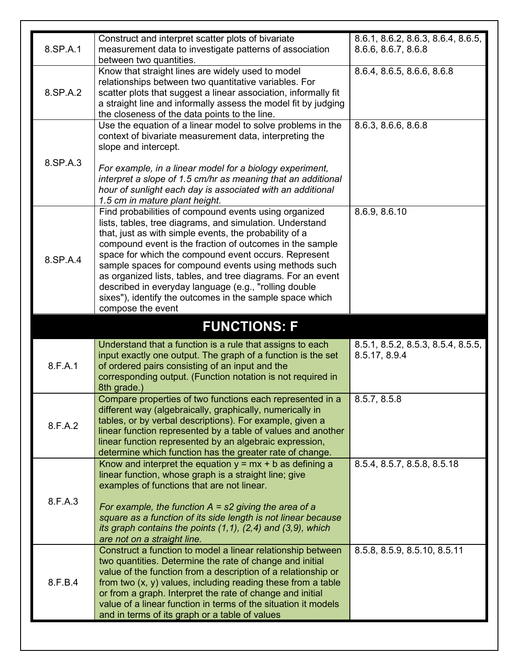|          | Construct and interpret scatter plots of bivariate                  | 8.6.1, 8.6.2, 8.6.3, 8.6.4, 8.6.5, |
|----------|---------------------------------------------------------------------|------------------------------------|
| 8.SP.A.1 | measurement data to investigate patterns of association             | 8.6.6, 8.6.7, 8.6.8                |
|          | between two quantities.                                             |                                    |
|          | Know that straight lines are widely used to model                   | 8.6.4, 8.6.5, 8.6.6, 8.6.8         |
|          | relationships between two quantitative variables. For               |                                    |
| 8.SP.A.2 | scatter plots that suggest a linear association, informally fit     |                                    |
|          | a straight line and informally assess the model fit by judging      |                                    |
|          | the closeness of the data points to the line.                       |                                    |
|          | Use the equation of a linear model to solve problems in the         | 8.6.3, 8.6.6, 8.6.8                |
|          | context of bivariate measurement data, interpreting the             |                                    |
|          | slope and intercept.                                                |                                    |
| 8.SP.A.3 |                                                                     |                                    |
|          | For example, in a linear model for a biology experiment,            |                                    |
|          | interpret a slope of 1.5 cm/hr as meaning that an additional        |                                    |
|          | hour of sunlight each day is associated with an additional          |                                    |
|          | 1.5 cm in mature plant height.                                      |                                    |
|          | Find probabilities of compound events using organized               | 8.6.9, 8.6.10                      |
|          | lists, tables, tree diagrams, and simulation. Understand            |                                    |
|          | that, just as with simple events, the probability of a              |                                    |
|          | compound event is the fraction of outcomes in the sample            |                                    |
| 8.SP.A.4 | space for which the compound event occurs. Represent                |                                    |
|          | sample spaces for compound events using methods such                |                                    |
|          | as organized lists, tables, and tree diagrams. For an event         |                                    |
|          | described in everyday language (e.g., "rolling double               |                                    |
|          | sixes"), identify the outcomes in the sample space which            |                                    |
|          | compose the event                                                   |                                    |
|          |                                                                     |                                    |
|          | <b>FUNCTIONS: F</b>                                                 |                                    |
|          | Understand that a function is a rule that assigns to each           | 8.5.1, 8.5.2, 8.5.3, 8.5.4, 8.5.5, |
|          | input exactly one output. The graph of a function is the set        | 8.5.17, 8.9.4                      |
| 8.F.A.1  | of ordered pairs consisting of an input and the                     |                                    |
|          | corresponding output. (Function notation is not required in         |                                    |
|          | 8th grade.)                                                         |                                    |
|          | Compare properties of two functions each represented in a           | 8.5.7, 8.5.8                       |
|          | different way (algebraically, graphically, numerically in           |                                    |
| 8.F.A.2  | tables, or by verbal descriptions). For example, given a            |                                    |
|          | linear function represented by a table of values and another        |                                    |
|          | linear function represented by an algebraic expression,             |                                    |
|          | determine which function has the greater rate of change.            |                                    |
|          | Know and interpret the equation $y = mx + b$ as defining a          | 8.5.4, 8.5.7, 8.5.8, 8.5.18        |
| 8.F.A.3  | linear function, whose graph is a straight line; give               |                                    |
|          | examples of functions that are not linear.                          |                                    |
|          |                                                                     |                                    |
|          | For example, the function $A = s2$ giving the area of a             |                                    |
|          | square as a function of its side length is not linear because       |                                    |
|          | its graph contains the points $(1,1)$ , $(2,4)$ and $(3,9)$ , which |                                    |
|          | are not on a straight line.                                         |                                    |
|          | Construct a function to model a linear relationship between         | 8.5.8, 8.5.9, 8.5.10, 8.5.11       |
| 8.F.B.4  | two quantities. Determine the rate of change and initial            |                                    |
|          | value of the function from a description of a relationship or       |                                    |
|          | from two $(x, y)$ values, including reading these from a table      |                                    |
|          | or from a graph. Interpret the rate of change and initial           |                                    |
|          | value of a linear function in terms of the situation it models      |                                    |
|          | and in terms of its graph or a table of values                      |                                    |
|          |                                                                     |                                    |